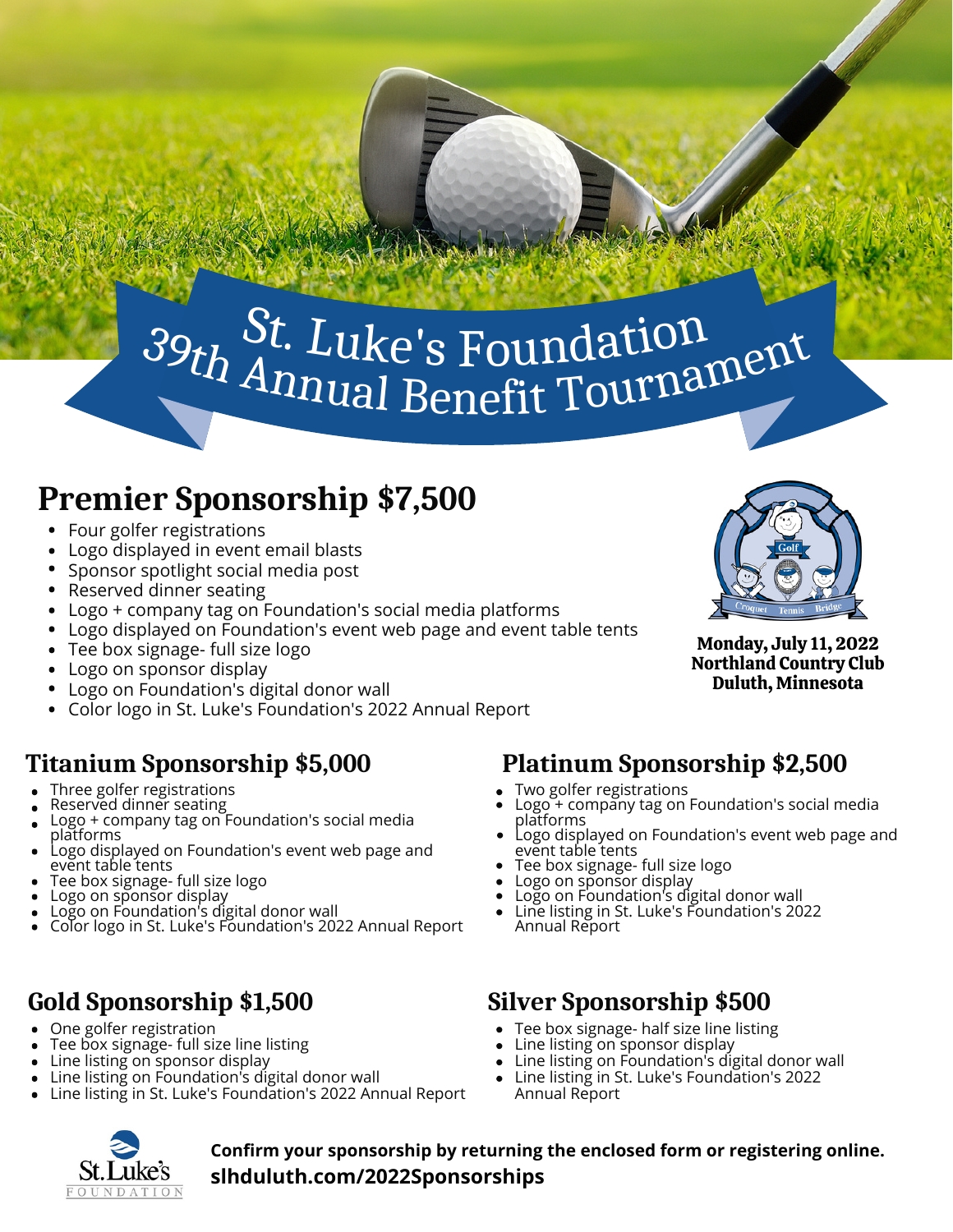#### h <sup>dt.</sup> Luke's Foundation<br>Annual Benefit Tournament t f  $\bm{\mathit{\Pi}}$  ) <sup>t.</sup> Luke's Foundat e ndatioi  $\mathrm{B}$ 6 St. Luke's Foundation<br>Annual Repetit Tournament  $\mathbf{u}$  $\rm{ke}$ 's Fot  $\mathbf{T} \mathbf{I}$ undation<br>it Tournamer  $39th$  <sup>O</sup>. Luke's  $\bm{\mathcal{S}}$ u  $\mathbf{u}$ s n mTournan

## **Premier Sponsorship \$7,500**

- Four golfer registrations
- Logo displayed in event email blasts
- Sponsor spotlight social media post
- Reserved dinner seating
- Logo + company tag on Foundation's social media platforms
- Logo displayed on Foundation's event web page and event table tents
- Tee box signage- full size logo
- Logo on sponsor display
- Logo on Foundation's digital donor wall
- Color logo in St. Luke's Foundation's 2022 Annual Report

#### **Titanium Sponsorship \$5,000**

- Three golfer registrations
- Reserved dinner seating
- Logo + company tag on Foundation's social media platforms
- Logo displayed on Foundation's event web page and event table tents
- Tee box signage- full size logo
- Logo on sponsor display
- Logo on Foundation's digital donor wall
- Color logo in St. Luke's Foundation's 2022 Annual Report

#### **Gold Sponsorship \$1,500**

- One golfer registration
- Tee box signage- full size line listing
- Line listing on sponsor display  $\bullet$
- Line listing on Foundation's digital donor wall
- Line listing in St. Luke's Foundation's 2022 Annual Report

Monday, July 11, 2022

Northland Country Club Duluth, Minnesota

#### **Platinum Sponsorship \$2,500**

- Two golfer registrations
- Logo + company tag on Foundation's social media platforms
- Logo displayed on Foundation's event web page and event table tents
- Tee box signage- full size logo
- Logo on sponsor display
- Logo on Foundation's digital donor wall
- Line listing in St. Luke's Foundation's 2022 Annual Report

#### **Silver Sponsorship \$500**

- Tee box signage- half size line listing
- Line listing on sponsor display
- Line listing on Foundation's digital donor wall  $\bullet$
- Line listing in St. Luke's Foundation's 2022  $\bullet$ Annual Report



**Confirm your sponsorship by returning the enclosed form or registering online. slhduluth.com/2022Sponsorships**